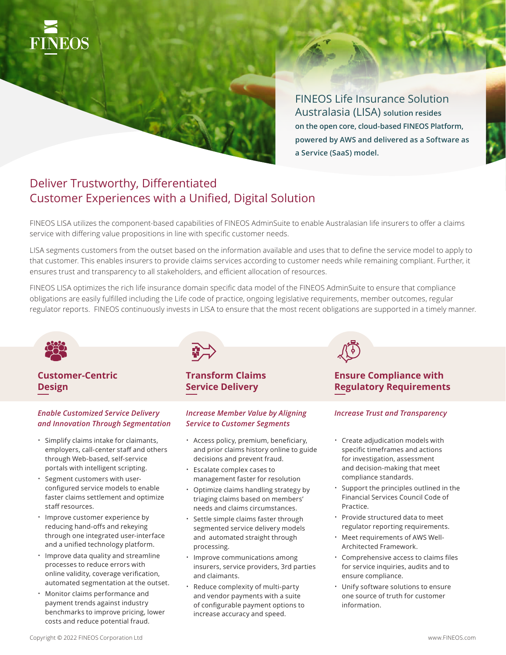

FINEOS Life Insurance Solution Australasia (LISA) **solution resides on the open core, cloud-based FINEOS Platform, powered by AWS and delivered as a Software as a Service (SaaS) model.**

# Deliver Trustworthy, Differentiated Customer Experiences with a Unified, Digital Solution

FINEOS LISA utilizes the component-based capabilities of FINEOS AdminSuite to enable Australasian life insurers to offer a claims service with differing value propositions in line with specific customer needs.

LISA segments customers from the outset based on the information available and uses that to define the service model to apply to that customer. This enables insurers to provide claims services according to customer needs while remaining compliant. Further, it ensures trust and transparency to all stakeholders, and efficient allocation of resources.

FINEOS LISA optimizes the rich life insurance domain specific data model of the FINEOS AdminSuite to ensure that compliance obligations are easily fulfilled including the Life code of practice, ongoing legislative requirements, member outcomes, regular regulator reports. FINEOS continuously invests in LISA to ensure that the most recent obligations are supported in a timely manner.



### **Customer-Centric Design**

### *Enable Customized Service Delivery and Innovation Through Segmentation*

- Simplify claims intake for claimants, employers, call-center staff and others through Web-based, self-service portals with intelligent scripting.
- Segment customers with userconfigured service models to enable faster claims settlement and optimize staff resources.
- Improve customer experience by reducing hand-offs and rekeying through one integrated user-interface and a unified technology platform.
- Improve data quality and streamline processes to reduce errors with online validity, coverage verification, automated segmentation at the outset.
- Monitor claims performance and payment trends against industry benchmarks to improve pricing, lower costs and reduce potential fraud.



## **Transform Claims Service Delivery**

### *Increase Member Value by Aligning Service to Customer Segments*

- Access policy, premium, beneficiary, and prior claims history online to guide decisions and prevent fraud.
- Escalate complex cases to management faster for resolution
- Optimize claims handling strategy by triaging claims based on members' needs and claims circumstances.
- Settle simple claims faster through segmented service delivery models and automated straight through processing.
- Improve communications among insurers, service providers, 3rd parties and claimants.
- Reduce complexity of multi-party and vendor payments with a suite of configurable payment options to increase accuracy and speed.

# **Ensure Compliance with Regulatory Requirements**

### *Increase Trust and Transparency*

- Create adjudication models with specific timeframes and actions for investigation, assessment and decision-making that meet compliance standards.
- Support the principles outlined in the Financial Services Council Code of Practice.
- Provide structured data to meet regulator reporting requirements.
- Meet requirements of AWS Well-Architected Framework.
- Comprehensive access to claims files for service inquiries, audits and to ensure compliance.
- Unify software solutions to ensure one source of truth for customer information.